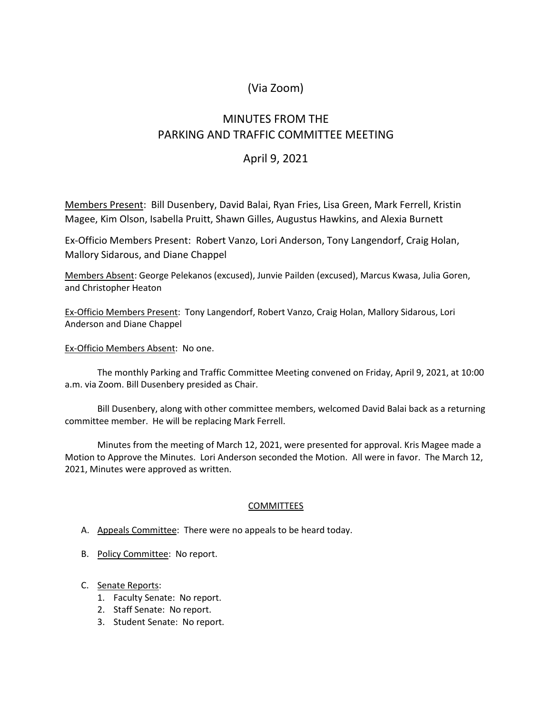# (Via Zoom)

# MINUTES FROM THE PARKING AND TRAFFIC COMMITTEE MEETING

# April 9, 2021

Members Present: Bill Dusenbery, David Balai, Ryan Fries, Lisa Green, Mark Ferrell, Kristin Magee, Kim Olson, Isabella Pruitt, Shawn Gilles, Augustus Hawkins, and Alexia Burnett

Ex-Officio Members Present: Robert Vanzo, Lori Anderson, Tony Langendorf, Craig Holan, Mallory Sidarous, and Diane Chappel

Members Absent: George Pelekanos (excused), Junvie Pailden (excused), Marcus Kwasa, Julia Goren, and Christopher Heaton

Ex-Officio Members Present: Tony Langendorf, Robert Vanzo, Craig Holan, Mallory Sidarous, Lori Anderson and Diane Chappel

Ex-Officio Members Absent: No one.

The monthly Parking and Traffic Committee Meeting convened on Friday, April 9, 2021, at 10:00 a.m. via Zoom. Bill Dusenbery presided as Chair.

Bill Dusenbery, along with other committee members, welcomed David Balai back as a returning committee member. He will be replacing Mark Ferrell.

Minutes from the meeting of March 12, 2021, were presented for approval. Kris Magee made a Motion to Approve the Minutes. Lori Anderson seconded the Motion. All were in favor. The March 12, 2021, Minutes were approved as written.

## **COMMITTEES**

- A. Appeals Committee: There were no appeals to be heard today.
- B. Policy Committee: No report.
- C. Senate Reports:
	- 1. Faculty Senate: No report.
	- 2. Staff Senate: No report.
	- 3. Student Senate: No report.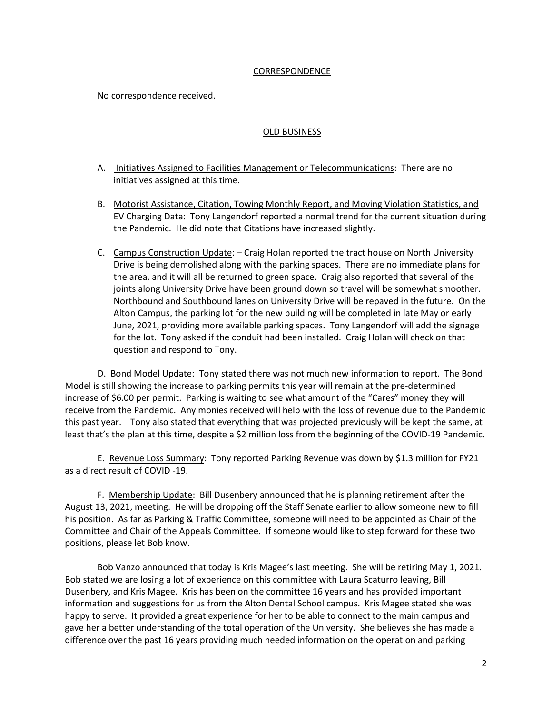### CORRESPONDENCE

No correspondence received.

## OLD BUSINESS

- A. Initiatives Assigned to Facilities Management or Telecommunications: There are no initiatives assigned at this time.
- B. Motorist Assistance, Citation, Towing Monthly Report, and Moving Violation Statistics, and EV Charging Data: Tony Langendorf reported a normal trend for the current situation during the Pandemic. He did note that Citations have increased slightly.
- C. Campus Construction Update: Craig Holan reported the tract house on North University Drive is being demolished along with the parking spaces. There are no immediate plans for the area, and it will all be returned to green space. Craig also reported that several of the joints along University Drive have been ground down so travel will be somewhat smoother. Northbound and Southbound lanes on University Drive will be repaved in the future. On the Alton Campus, the parking lot for the new building will be completed in late May or early June, 2021, providing more available parking spaces. Tony Langendorf will add the signage for the lot. Tony asked if the conduit had been installed. Craig Holan will check on that question and respond to Tony.

D. Bond Model Update: Tony stated there was not much new information to report. The Bond Model is still showing the increase to parking permits this year will remain at the pre-determined increase of \$6.00 per permit. Parking is waiting to see what amount of the "Cares" money they will receive from the Pandemic. Any monies received will help with the loss of revenue due to the Pandemic this past year. Tony also stated that everything that was projected previously will be kept the same, at least that's the plan at this time, despite a \$2 million loss from the beginning of the COVID-19 Pandemic.

E. Revenue Loss Summary: Tony reported Parking Revenue was down by \$1.3 million for FY21 as a direct result of COVID -19.

F. Membership Update: Bill Dusenbery announced that he is planning retirement after the August 13, 2021, meeting. He will be dropping off the Staff Senate earlier to allow someone new to fill his position. As far as Parking & Traffic Committee, someone will need to be appointed as Chair of the Committee and Chair of the Appeals Committee. If someone would like to step forward for these two positions, please let Bob know.

Bob Vanzo announced that today is Kris Magee's last meeting. She will be retiring May 1, 2021. Bob stated we are losing a lot of experience on this committee with Laura Scaturro leaving, Bill Dusenbery, and Kris Magee. Kris has been on the committee 16 years and has provided important information and suggestions for us from the Alton Dental School campus. Kris Magee stated she was happy to serve. It provided a great experience for her to be able to connect to the main campus and gave her a better understanding of the total operation of the University. She believes she has made a difference over the past 16 years providing much needed information on the operation and parking